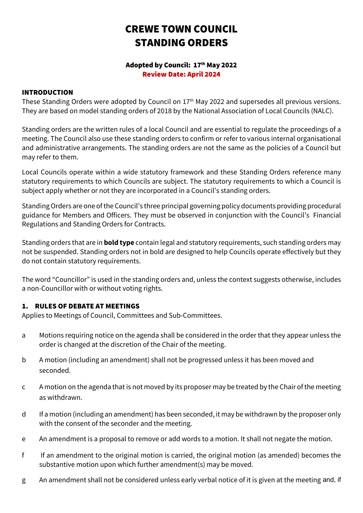# CREWE TOWN COUNCIL STANDING ORDERS

#### Adopted by Council: 17th May 2022 Review Date: April 2024

#### INTRODUCTION

These Standing Orders were adopted by Council on 17<sup>th</sup> May 2022 and supersedes all previous versions. They are based on model standing orders of 2018 by the National Association of Local Councils (NALC).

Standing orders are the written rules of a local Council and are essential to regulate the proceedings of a meeting. The Council also use these standing orders to confirm or refer to various internal organisational and administrative arrangements. The standing orders are not the same as the policies of a Council but may refer to them.

Local Councils operate within a wide statutory framework and these Standing Orders reference many statutory requirements to which Councils are subject. The statutory requirements to which a Council is subject apply whether or not they are incorporated in a Council's standing orders.

Standing Orders are one of the Council's three principal governing policy documents providing procedural guidance for Members and Officers. They must be observed in conjunction with the Council's Financial Regulations and Standing Orders for Contracts.

Standing orders that are in **bold type** contain legal and statutory requirements, such standing orders may not be suspended. Standing orders not in bold are designed to help Councils operate effectively but they do not contain statutory requirements.

The word "Councillor" is used in the standing orders and, unless the context suggests otherwise, includes a non-Councillor with or without voting rights.

## 1. RULES OF DEBATE AT MEETINGS

Applies to Meetings of Council, Committees and Sub-Committees.

- a Motions requiring notice on the agenda shall be considered in the order that they appear unless the order is changed at the discretion of the Chair of the meeting.
- b A motion (including an amendment) shall not be progressed unless it has been moved and seconded.
- c A motion on the agenda that is not moved by its proposer may be treated by the Chair of the meeting as withdrawn.
- d If a motion (including an amendment) has been seconded, it may be withdrawn by the proposer only with the consent of the seconder and the meeting.
- e An amendment is a proposal to remove or add words to a motion. It shall not negate the motion.
- f If an amendment to the original motion is carried, the original motion (as amended) becomes the substantive motion upon which further amendment(s) may be moved.
- g An amendment shall not be considered unless early verbal notice of it is given at the meeting and, if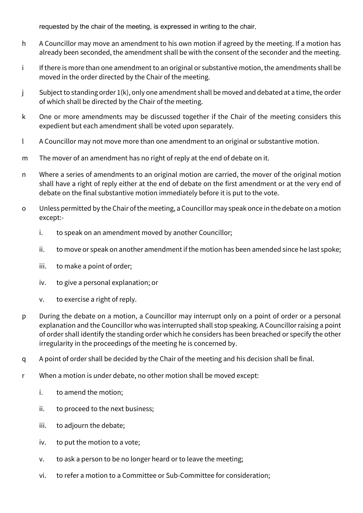requested by the chair of the meeting, is expressed in writing to the chair.

- h A Councillor may move an amendment to his own motion if agreed by the meeting. If a motion has already been seconded, the amendment shall be with the consent of the seconder and the meeting.
- i If there is more than one amendment to an original or substantive motion, the amendments shall be moved in the order directed by the Chair of the meeting.
- j Subject to standing order 1(k), only one amendment shall be moved and debated at a time, the order of which shall be directed by the Chair of the meeting.
- k One or more amendments may be discussed together if the Chair of the meeting considers this expedient but each amendment shall be voted upon separately.
- l A Councillor may not move more than one amendment to an original or substantive motion.
- m The mover of an amendment has no right of reply at the end of debate on it.
- n Where a series of amendments to an original motion are carried, the mover of the original motion shall have a right of reply either at the end of debate on the first amendment or at the very end of debate on the final substantive motion immediately before it is put to the vote.
- o Unless permitted by the Chair of the meeting, a Councillor may speak once in the debate on a motion except:
	- i. to speak on an amendment moved by another Councillor;
	- ii. to move or speak on another amendment if the motion has been amended since he last spoke;
	- iii. to make a point of order;
	- iv. to give a personal explanation; or
	- v. to exercise a right of reply.
- p During the debate on a motion, a Councillor may interrupt only on a point of order or a personal explanation and the Councillor who was interrupted shall stop speaking. A Councillor raising a point of order shall identify the standing order which he considers has been breached or specify the other irregularity in the proceedings of the meeting he is concerned by.
- q A point of order shall be decided by the Chair of the meeting and his decision shall be final.
- r When a motion is under debate, no other motion shall be moved except:
	- i. to amend the motion;
	- ii. to proceed to the next business;
	- iii. to adjourn the debate;
	- iv. to put the motion to a vote;
	- v. to ask a person to be no longer heard or to leave the meeting;
	- vi. to refer a motion to a Committee or Sub-Committee for consideration;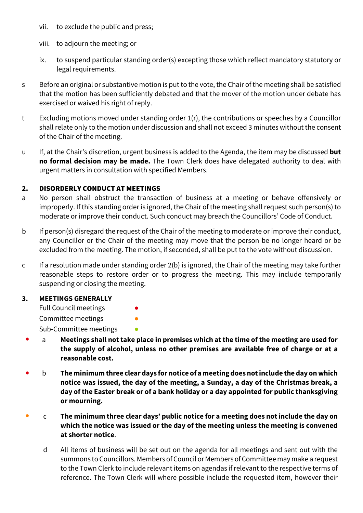- vii. to exclude the public and press;
- viii. to adjourn the meeting; or
- ix. to suspend particular standing order(s) excepting those which reflect mandatory statutory or legal requirements.
- s Before an original or substantive motion is put to the vote, the Chair of the meeting shall be satisfied that the motion has been sufficiently debated and that the mover of the motion under debate has exercised or waived his right of reply.
- t Excluding motions moved under standing order 1(r), the contributions or speeches by a Councillor shall relate only to the motion under discussion and shall not exceed 3 minutes without the consent of the Chair of the meeting.
- u If, at the Chair's discretion, urgent business is added to the Agenda, the item may be discussed **but no formal decision may be made.** The Town Clerk does have delegated authority to deal with urgent matters in consultation with specified Members.

## 2. DISORDERLY CONDUCT AT MEETINGS

- a No person shall obstruct the transaction of business at a meeting or behave offensively or improperly. If this standing order is ignored, the Chair of the meeting shall request such person(s) to moderate or improve their conduct. Such conduct may breach the Councillors' Code of Conduct.
- b If person(s) disregard the request of the Chair of the meeting to moderate or improve their conduct, any Councillor or the Chair of the meeting may move that the person be no longer heard or be excluded from the meeting. The motion, if seconded, shall be put to the vote without discussion.
- c If a resolution made under standing order 2(b) is ignored, the Chair of the meeting may take further reasonable steps to restore order or to progress the meeting. This may include temporarily suspending or closing the meeting.

## **3. MEETINGS GENERALLY**

Full Council meetings

Committee meetings

Sub-Committee meetings

- a **Meetings shall not take place in premises which at the time of the meeting are used for the supply of alcohol, unless no other premises are available free of charge or at a reasonable cost.**
- b **The minimum three clear days for notice of a meeting does not include the day on which notice was issued, the day of the meeting, a Sunday, a day of the Christmas break, a day of the Easter break or of a bank holiday or a day appointed for public thanksgiving or mourning.**
- c **The minimum three clear days' public notice for a meeting does not include the day on which the notice was issued or the day of the meeting unless the meeting is convened at shorter notice**.
	- d All items of business will be set out on the agenda for all meetings and sent out with the summons to Councillors. Members of Council or Members of Committee may make a request to the Town Clerk to include relevant items on agendas if relevant to the respective terms of reference. The Town Clerk will where possible include the requested item, however their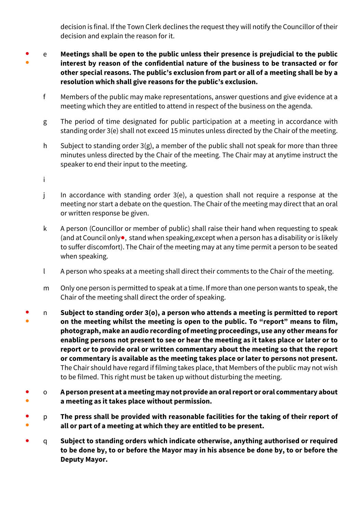decision is final. If the Town Clerk declines the request they will notify the Councillor of their decision and explain the reason for it.

- ● e **Meetings shall be open to the public unless their presence is prejudicial to the public interest by reason of the confidential nature of the business to be transacted or for other special reasons. The public's exclusion from part or all of a meeting shall be by a resolution which shall give reasons for the public's exclusion.**
	- f Members of the public may make representations, answer questions and give evidence at a meeting which they are entitled to attend in respect of the business on the agenda.
	- g The period of time designated for public participation at a meeting in accordance with standing order 3(e) shall not exceed 15 minutes unless directed by the Chair of the meeting.
	- h Subject to standing order  $3(g)$ , a member of the public shall not speak for more than three minutes unless directed by the Chair of the meeting. The Chair may at anytime instruct the speaker to end their input to the meeting.
	- i
	- j In accordance with standing order 3(e), a question shall not require a response at the meeting nor start a debate on the question. The Chair of the meeting may direct that an oral or written response be given.
	- k A person (Councillor or member of public) shall raise their hand when requesting to speak (and at Council only●, stand when speaking,except when a person has a disability or is likely to suffer discomfort). The Chair of the meeting may at any time permit a person to be seated when speaking.
	- l A person who speaks at a meeting shall direct their comments to the Chair of the meeting.
	- m Only one person is permitted to speak at a time. If more than one person wants to speak, the Chair of the meeting shall direct the order of speaking.
- ● n **Subject to standing order 3(o), a person who attends a meeting is permitted to report on the meeting whilst the meeting is open to the public. To "report" means to film, photograph, make an audio recording of meeting proceedings, use any other means for enabling persons not present to see or hear the meeting as it takes place or later or to report or to provide oral or written commentary about the meeting so that the report or commentary is available as the meeting takes place or later to persons not present.** The Chair should have regard if filming takes place, that Members of the public may not wish to be filmed. This right must be taken up without disturbing the meeting.
- ● o **A person present at a meeting may not provide an oral report or oral commentary about a meeting as it takes place without permission.**
- ● p **The press shall be provided with reasonable facilities for the taking of their report of all or part of a meeting at which they are entitled to be present.**
- q **Subject to standing orders which indicate otherwise, anything authorised or required to be done by, to or before the Mayor may in his absence be done by, to or before the Deputy Mayor.**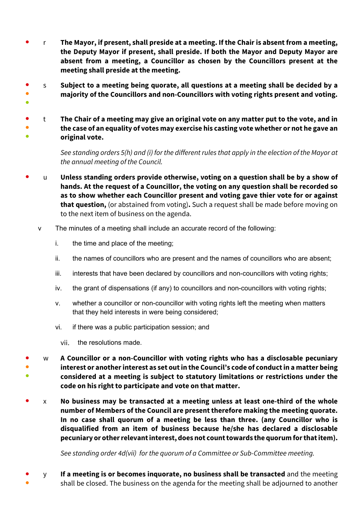- r **The Mayor, if present, shall preside at a meeting. If the Chair is absent from a meeting, the Deputy Mayor if present, shall preside. If both the Mayor and Deputy Mayor are absent from a meeting, a Councillor as chosen by the Councillors present at the meeting shall preside at the meeting.**
- ● s **Subject to a meeting being quorate, all questions at a meeting shall be decided by a majority of the Councillors and non-Councillors with voting rights present and voting.**
- ● ● t **The Chair of a meeting may give an original vote on any matter put to the vote, and in the case of an equality of votes may exercise his casting vote whether or not he gave an original vote.**

*See standing orders 5(h) and (i) for the different rules that apply in the election of the Mayor at the annual meeting of the Council.*

- u **Unless standing orders provide otherwise, voting on a question shall be by a show of hands. At the request of a Councillor, the voting on any question shall be recorded so as to show whether each Councillor present and voting gave thier vote for or against that question,** (or abstained from voting)**.** Such a request shall be made before moving on to the next item of business on the agenda.
	- v The minutes of a meeting shall include an accurate record of the following:
		- i. the time and place of the meeting;

●

- ii. the names of councillors who are present and the names of councillors who are absent;
- iii. interests that have been declared by councillors and non-councillors with voting rights;
- iv. the grant of dispensations (if any) to councillors and non-councillors with voting rights;
- v. whether a councillor or non-councillor with voting rights left the meeting when matters that they held interests in were being considered;
- vi. if there was a public participation session; and
	- vii. the resolutions made.
- ● ● w **A Councillor or a non-Councillor with voting rights who has a disclosable pecuniary interest or another interest as set out in the Council's code of conduct in a matter being considered at a meeting is subject to statutory limitations or restrictions under the code on his right to participate and vote on that matter.**
- x **No business may be transacted at a meeting unless at least one-third of the whole number of Members of the Council are present therefore making the meeting quorate. In no case shall quorum of a meeting be less than three. (any Councillor who is disqualified from an item of business because he/she has declared a disclosable pecuniary or other relevant interest, does not count towards the quorum for that item).**

*See standing order 4d(vii) for the quorum of a Committee or Sub-Committee meeting.* 

● ● y **If a meeting is or becomes inquorate, no business shall be transacted** and the meeting shall be closed. The business on the agenda for the meeting shall be adjourned to another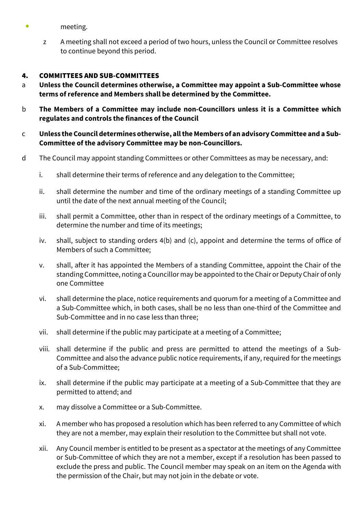- meeting.
	- z A meeting shall not exceed a period of two hours, unless the Council or Committee resolves to continue beyond this period.

#### 4. COMMITTEES AND SUB-COMMITTEES

- a **Unless the Council determines otherwise, a Committee may appoint a Sub-Committee whose terms of reference and Members shall be determined by the Committee.**
- b **The Members of a Committee may include non-Councillors unless it is a Committee which regulates and controls the finances of the Council**

#### c **Unless the Council determines otherwise, all the Members of an advisory Committee and a Sub-Committee of the advisory Committee may be non-Councillors.**

- d The Council may appoint standing Committees or other Committees as may be necessary, and:
	- i. shall determine their terms of reference and any delegation to the Committee;
	- ii. shall determine the number and time of the ordinary meetings of a standing Committee up until the date of the next annual meeting of the Council;
	- iii. shall permit a Committee, other than in respect of the ordinary meetings of a Committee, to determine the number and time of its meetings;
	- iv. shall, subject to standing orders 4(b) and (c), appoint and determine the terms of office of Members of such a Committee;
	- v. shall, after it has appointed the Members of a standing Committee, appoint the Chair of the standing Committee, noting a Councillor may be appointed to the Chair or Deputy Chair of only one Committee
	- vi. shall determine the place, notice requirements and quorum for a meeting of a Committee and a Sub-Committee which, in both cases, shall be no less than one-third of the Committee and Sub-Committee and in no case less than three;
	- vii. shall determine if the public may participate at a meeting of a Committee;
	- viii. shall determine if the public and press are permitted to attend the meetings of a Sub-Committee and also the advance public notice requirements, if any, required for the meetings of a Sub-Committee;
	- ix. shall determine if the public may participate at a meeting of a Sub-Committee that they are permitted to attend; and
	- x. may dissolve a Committee or a Sub-Committee.
	- xi. A member who has proposed a resolution which has been referred to any Committee of which they are not a member, may explain their resolution to the Committee but shall not vote.
	- xii. Any Council member is entitled to be present as a spectator at the meetings of any Committee or Sub-Committee of which they are not a member, except if a resolution has been passed to exclude the press and public. The Council member may speak on an item on the Agenda with the permission of the Chair, but may not join in the debate or vote.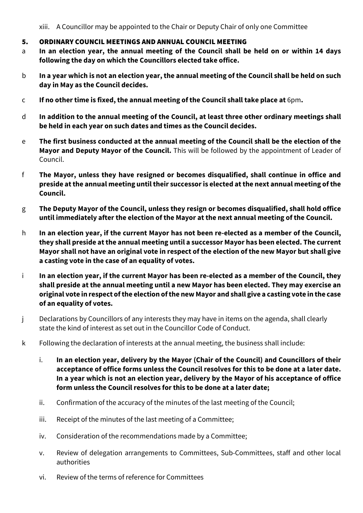xiii. A Councillor may be appointed to the Chair or Deputy Chair of only one Committee

## 5. ORDINARY COUNCIL MEETINGS AND ANNUAL COUNCIL MEETING

- a **In an election year, the annual meeting of the Council shall be held on or within 14 days following the day on which the Councillors elected take office.**
- b **In a year which is not an election year, the annual meeting of the Council shall be held on such day in May as the Council decides.**
- c **If no other time is fixed, the annual meeting of the Council shall take place at** 6pm**.**
- d **In addition to the annual meeting of the Council, at least three other ordinary meetings shall be held in each year on such dates and times as the Council decides.**
- e **The first business conducted at the annual meeting of the Council shall be the election of the Mayor and Deputy Mayor of the Council.** This will be followed by the appointment of Leader of Council.
- f **The Mayor, unless they have resigned or becomes disqualified, shall continue in office and preside at the annual meeting until their successor is elected at the next annual meeting of the Council.**
- g **The Deputy Mayor of the Council, unless they resign or becomes disqualified, shall hold office until immediately after the election of the Mayor at the next annual meeting of the Council.**
- h **In an election year, if the current Mayor has not been re-elected as a member of the Council, they shall preside at the annual meeting until a successor Mayor has been elected. The current Mayor shall not have an original vote in respect of the election of the new Mayor but shall give a casting vote in the case of an equality of votes.**
- i **In an election year, if the current Mayor has been re-elected as a member of the Council, they shall preside at the annual meeting until a new Mayor has been elected. They may exercise an original vote in respect of the election of the new Mayor and shall give a casting vote in the case of an equality of votes.**
- j Declarations by Councillors of any interests they may have in items on the agenda, shall clearly state the kind of interest as set out in the Councillor Code of Conduct.
- k Following the declaration of interests at the annual meeting, the business shall include:
	- i. **In an election year, delivery by the Mayor (Chair of the Council) and Councillors of their acceptance of office forms unless the Council resolves for this to be done at a later date. In a year which is not an election year, delivery by the Mayor of his acceptance of office form unless the Council resolves for this to be done at a later date;**
	- ii. Confirmation of the accuracy of the minutes of the last meeting of the Council;
	- iii. Receipt of the minutes of the last meeting of a Committee;
	- iv. Consideration of the recommendations made by a Committee;
	- v. Review of delegation arrangements to Committees, Sub-Committees, staff and other local authorities
	- vi. Review of the terms of reference for Committees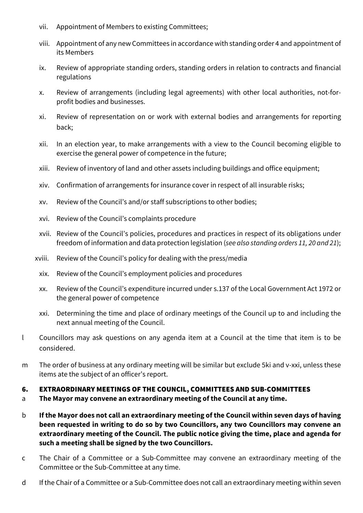- vii. Appointment of Members to existing Committees;
- viii. Appointment of any new Committees in accordance with standing order 4 and appointment of its Members
- ix. Review of appropriate standing orders, standing orders in relation to contracts and financial regulations
- x. Review of arrangements (including legal agreements) with other local authorities, not-forprofit bodies and businesses.
- xi. Review of representation on or work with external bodies and arrangements for reporting back;
- xii. In an election year, to make arrangements with a view to the Council becoming eligible to exercise the general power of competence in the future;
- xiii. Review of inventory of land and other assets including buildings and office equipment;
- xiv. Confirmation of arrangements for insurance cover in respect of all insurable risks;
- xv. Review of the Council's and/or staff subscriptions to other bodies;
- xvi. Review of the Council's complaints procedure
- xvii. Review of the Council's policies, procedures and practices in respect of its obligations under freedom of information and data protection legislation (*see also standing orders 11, 20 and 21*);
- xviii. Review of the Council's policy for dealing with the press/media
	- xix. Review of the Council's employment policies and procedures
- xx. Review of the Council's expenditure incurred under s.137 of the Local Government Act 1972 or the general power of competence
- xxi. Determining the time and place of ordinary meetings of the Council up to and including the next annual meeting of the Council.
- l Councillors may ask questions on any agenda item at a Council at the time that item is to be considered.
- m The order of business at any ordinary meeting will be similar but exclude 5ki and v-xxi, unless these items ate the subject of an officer's report.

# 6. EXTRAORDINARY MEETINGS OF THE COUNCIL, COMMITTEES AND SUB-COMMITTEES

- a **The Mayor may convene an extraordinary meeting of the Council at any time.**
- b **If the Mayor does not call an extraordinary meeting of the Council within seven days of having been requested in writing to do so by two Councillors, any two Councillors may convene an extraordinary meeting of the Council. The public notice giving the time, place and agenda for such a meeting shall be signed by the two Councillors.**
- c The Chair of a Committee or a Sub-Committee may convene an extraordinary meeting of the Committee or the Sub-Committee at any time.
- d If the Chair of a Committee or a Sub-Committee does not call an extraordinary meeting within seven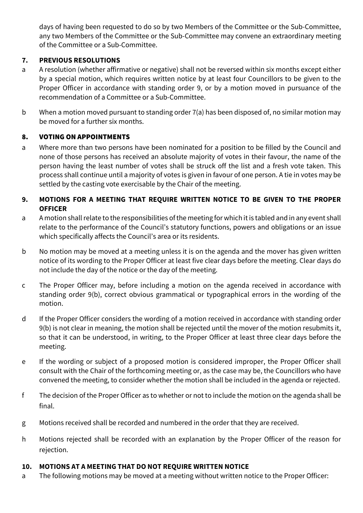days of having been requested to do so by two Members of the Committee or the Sub-Committee, any two Members of the Committee or the Sub-Committee may convene an extraordinary meeting of the Committee or a Sub-Committee.

# **7. PREVIOUS RESOLUTIONS**

- a A resolution (whether affirmative or negative) shall not be reversed within six months except either by a special motion, which requires written notice by at least four Councillors to be given to the Proper Officer in accordance with standing order 9, or by a motion moved in pursuance of the recommendation of a Committee or a Sub-Committee.
- b When a motion moved pursuant to standing order 7(a) has been disposed of, no similar motion may be moved for a further six months.

# 8. VOTING ON APPOINTMENTS

- a Where more than two persons have been nominated for a position to be filled by the Council and none of those persons has received an absolute majority of votes in their favour, the name of the person having the least number of votes shall be struck off the list and a fresh vote taken. This process shall continue until a majority of votes is given in favour of one person. A tie in votes may be settled by the casting vote exercisable by the Chair of the meeting.
- **9. MOTIONS FOR A MEETING THAT REQUIRE WRITTEN NOTICE TO BE GIVEN TO THE PROPER OFFICER**
- a A motion shall relate to the responsibilities of the meeting for which it is tabled and in any event shall relate to the performance of the Council's statutory functions, powers and obligations or an issue which specifically affects the Council's area or its residents.
- b No motion may be moved at a meeting unless it is on the agenda and the mover has given written notice of its wording to the Proper Officer at least five clear days before the meeting. Clear days do not include the day of the notice or the day of the meeting.
- c The Proper Officer may, before including a motion on the agenda received in accordance with standing order 9(b), correct obvious grammatical or typographical errors in the wording of the motion.
- d If the Proper Officer considers the wording of a motion received in accordance with standing order 9(b) is not clear in meaning, the motion shall be rejected until the mover of the motion resubmits it, so that it can be understood, in writing, to the Proper Officer at least three clear days before the meeting.
- e If the wording or subject of a proposed motion is considered improper, the Proper Officer shall consult with the Chair of the forthcoming meeting or, as the case may be, the Councillors who have convened the meeting, to consider whether the motion shall be included in the agenda or rejected.
- f The decision of the Proper Officer as to whether or not to include the motion on the agenda shall be final.
- g Motions received shall be recorded and numbered in the order that they are received.
- h Motions rejected shall be recorded with an explanation by the Proper Officer of the reason for rejection.

## **10. MOTIONS AT A MEETING THAT DO NOT REQUIRE WRITTEN NOTICE**

a The following motions may be moved at a meeting without written notice to the Proper Officer: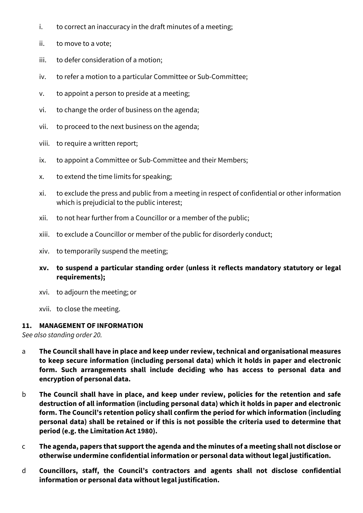- i. to correct an inaccuracy in the draft minutes of a meeting;
- ii. to move to a vote;
- iii. to defer consideration of a motion;
- iv. to refer a motion to a particular Committee or Sub-Committee;
- v. to appoint a person to preside at a meeting;
- vi. to change the order of business on the agenda;
- vii. to proceed to the next business on the agenda;
- viii. to require a written report;
- ix. to appoint a Committee or Sub-Committee and their Members;
- x. to extend the time limits for speaking;
- xi. to exclude the press and public from a meeting in respect of confidential or other information which is prejudicial to the public interest;
- xii. to not hear further from a Councillor or a member of the public;
- xiii. to exclude a Councillor or member of the public for disorderly conduct;
- xiv. to temporarily suspend the meeting;
- **xv. to suspend a particular standing order (unless it reflects mandatory statutory or legal requirements);**
- xvi. to adjourn the meeting; or
- xvii. to close the meeting.

#### **11. MANAGEMENT OF INFORMATION**

*See also standing order 20.*

- a **The Council shall have in place and keep under review, technical and organisational measures to keep secure information (including personal data) which it holds in paper and electronic form. Such arrangements shall include deciding who has access to personal data and encryption of personal data.**
- b **The Council shall have in place, and keep under review, policies for the retention and safe destruction of all information (including personal data) which it holds in paper and electronic form. The Council's retention policy shall confirm the period for which information (including personal data) shall be retained or if this is not possible the criteria used to determine that period (e.g. the Limitation Act 1980).**
- c **The agenda, papers that support the agenda and the minutes of a meeting shall not disclose or otherwise undermine confidential information or personal data without legal justification.**
- d **Councillors, staff, the Council's contractors and agents shall not disclose confidential information or personal data without legal justification.**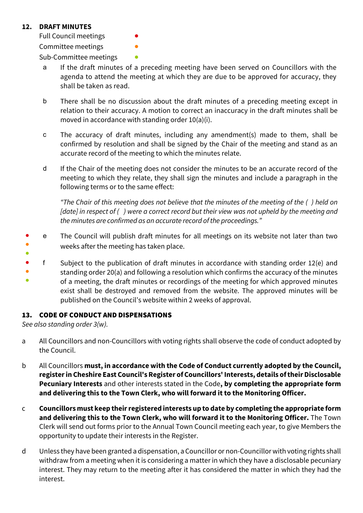## **12. DRAFT MINUTES**

Full Council meetings Committee meetings

Sub-Committee meetings

- a If the draft minutes of a preceding meeting have been served on Councillors with the agenda to attend the meeting at which they are due to be approved for accuracy, they shall be taken as read.
- b There shall be no discussion about the draft minutes of a preceding meeting except in relation to their accuracy. A motion to correct an inaccuracy in the draft minutes shall be moved in accordance with standing order 10(a)(i).
- c The accuracy of draft minutes, including any amendment(s) made to them, shall be confirmed by resolution and shall be signed by the Chair of the meeting and stand as an accurate record of the meeting to which the minutes relate.
- d If the Chair of the meeting does not consider the minutes to be an accurate record of the meeting to which they relate, they shall sign the minutes and include a paragraph in the following terms or to the same effect:

*"The Chair of this meeting does not believe that the minutes of the meeting of the ( ) held on [date] in respect of ( ) were a correct record but their view was not upheld by the meeting and the minutes are confirmed as an accurate record of the proceedings."*

- ● ● e The Council will publish draft minutes for all meetings on its website not later than two weeks after the meeting has taken place.
- f Subject to the publication of draft minutes in accordance with standing order 12(e) and
- standing order 20(a) and following a resolution which confirms the accuracy of the minutes
- of a meeting, the draft minutes or recordings of the meeting for which approved minutes exist shall be destroyed and removed from the website. The approved minutes will be published on the Council's website within 2 weeks of approval.

## 13. CODE OF CONDUCT AND DISPENSATIONS

*See also standing order 3(w).*

- a All Councillors and non-Councillors with voting rights shall observe the code of conduct adopted by the Council.
- b All Councillors **must, in accordance with the Code of Conduct currently adopted by the Council, register in Cheshire East Council's Register of Councillors' Interests, details of their Disclosable Pecuniary Interests** and other interests stated in the Code**, by completing the appropriate form and delivering this to the Town Clerk, who will forward it to the Monitoring Officer.**
- c **Councillors must keep their registered interests up to date by completing the appropriate form and delivering this to the Town Clerk, who will forward it to the Monitoring Officer.** The Town Clerk will send out forms prior to the Annual Town Council meeting each year, to give Members the opportunity to update their interests in the Register.
- d Unless they have been granted a dispensation, a Councillor or non-Councillor with voting rights shall withdraw from a meeting when it is considering a matter in which they have a disclosable pecuniary interest. They may return to the meeting after it has considered the matter in which they had the interest.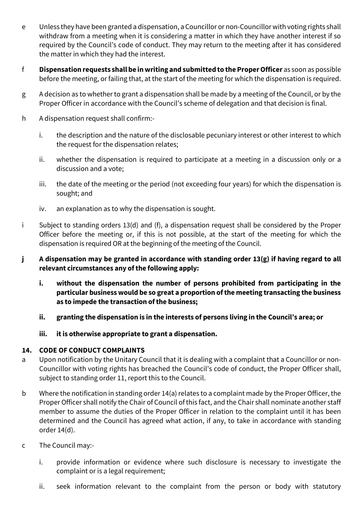- e Unless they have been granted a dispensation, a Councillor or non-Councillor with voting rights shall withdraw from a meeting when it is considering a matter in which they have another interest if so required by the Council's code of conduct. They may return to the meeting after it has considered the matter in which they had the interest.
- f **Dispensation requests shall be in writing and submitted to the Proper Officer** as soon as possible before the meeting, or failing that, at the start of the meeting for which the dispensation is required.
- g A decision as to whether to grant a dispensation shall be made by a meeting of the Council, or by the Proper Officer in accordance with the Council's scheme of delegation and that decision is final.
- h A dispensation request shall confirm:
	- i. the description and the nature of the disclosable pecuniary interest or other interest to which the request for the dispensation relates;
	- ii. whether the dispensation is required to participate at a meeting in a discussion only or a discussion and a vote;
	- iii. the date of the meeting or the period (not exceeding four years) for which the dispensation is sought; and
	- iv. an explanation as to why the dispensation is sought.
- i Subject to standing orders 13(d) and (f), a dispensation request shall be considered by the Proper Officer before the meeting or, if this is not possible, at the start of the meeting for which the dispensation is required OR at the beginning of the meeting of the Council.
- **j A dispensation may be granted in accordance with standing order 13(g) if having regard to all relevant circumstances any of the following apply:**
	- **i. without the dispensation the number of persons prohibited from participating in the particular business would be so great a proportion of the meeting transacting the business as to impede the transaction of the business;**
	- **ii. granting the dispensation is in the interests of persons living in the Council's area; or**
	- **iii. it is otherwise appropriate to grant a dispensation.**

## **14. CODE OF CONDUCT COMPLAINTS**

- a Upon notification by the Unitary Council that it is dealing with a complaint that a Councillor or non-Councillor with voting rights has breached the Council's code of conduct, the Proper Officer shall, subject to standing order 11, report this to the Council.
- b Where the notification in standing order 14(a) relates to a complaint made by the Proper Officer, the Proper Officer shall notify the Chair of Council of this fact, and the Chair shall nominate another staff member to assume the duties of the Proper Officer in relation to the complaint until it has been determined and the Council has agreed what action, if any, to take in accordance with standing order 14(d).
- c The Council may:
	- i. provide information or evidence where such disclosure is necessary to investigate the complaint or is a legal requirement;
	- ii. seek information relevant to the complaint from the person or body with statutory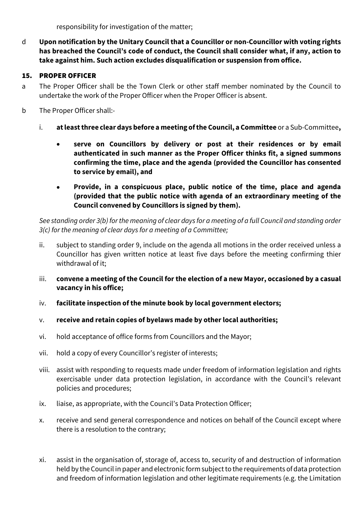responsibility for investigation of the matter;

d **Upon notification by the Unitary Council that a Councillor or non-Councillor with voting rights has breached the Council's code of conduct, the Council shall consider what, if any, action to take against him. Such action excludes disqualification or suspension from office.**

# 15. PROPER OFFICER

- a The Proper Officer shall be the Town Clerk or other staff member nominated by the Council to undertake the work of the Proper Officer when the Proper Officer is absent.
- b The Proper Officer shall:
	- i. **at least three clear days before a meeting of the Council, a Committee** or a Sub-Committee**,**
		- **serve on Councillors by delivery or post at their residences or by email authenticated in such manner as the Proper Officer thinks fit, a signed summons confirming the time, place and the agenda (provided the Councillor has consented to service by email), and**
		- **Provide, in a conspicuous place, public notice of the time, place and agenda (provided that the public notice with agenda of an extraordinary meeting of the Council convened by Councillors is signed by them).**

*See standing order 3(b) forthe meaning of clear days for a meeting of a full Council and standing order 3(c) for the meaning of clear days for a meeting of a Committee;*

- ii. subject to standing order 9, include on the agenda all motions in the order received unless a Councillor has given written notice at least five days before the meeting confirming thier withdrawal of it;
- iii. **convene a meeting of the Council for the election of a new Mayor, occasioned by a casual vacancy in his office;**
- iv. **facilitate inspection of the minute book by local government electors;**
- v. **receive and retain copies of byelaws made by other local authorities;**
- vi. hold acceptance of office forms from Councillors and the Mayor;
- vii. hold a copy of every Councillor's register of interests;
- viii. assist with responding to requests made under freedom of information legislation and rights exercisable under data protection legislation, in accordance with the Council's relevant policies and procedures;
- ix. liaise, as appropriate, with the Council's Data Protection Officer;
- x. receive and send general correspondence and notices on behalf of the Council except where there is a resolution to the contrary;
- xi. assist in the organisation of, storage of, access to, security of and destruction of information held by the Council in paper and electronic form subject to the requirements of data protection and freedom of information legislation and other legitimate requirements (e.g. the Limitation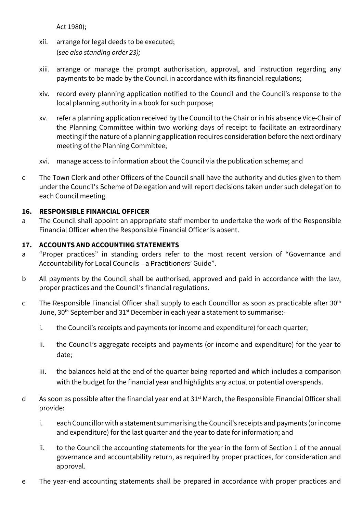Act 1980);

- xii. arrange for legal deeds to be executed; (*see also standing order 23);*
- xiii. arrange or manage the prompt authorisation, approval, and instruction regarding any payments to be made by the Council in accordance with its financial regulations;
- xiv. record every planning application notified to the Council and the Council's response to the local planning authority in a book for such purpose;
- xv. refer a planning application received by the Council to the Chair or in his absence Vice-Chair of the Planning Committee within two working days of receipt to facilitate an extraordinary meeting if the nature of a planning application requires consideration before the next ordinary meeting of the Planning Committee;
- xvi. manage access to information about the Council via the publication scheme; and
- c The Town Clerk and other Officers of the Council shall have the authority and duties given to them under the Council's Scheme of Delegation and will report decisions taken under such delegation to each Council meeting.

# **16. RESPONSIBLE FINANCIAL OFFICER**

a The Council shall appoint an appropriate staff member to undertake the work of the Responsible Financial Officer when the Responsible Financial Officer is absent.

## **17. ACCOUNTS AND ACCOUNTING STATEMENTS**

- a "Proper practices" in standing orders refer to the most recent version of "Governance and Accountability for Local Councils – a Practitioners' Guide".
- b All payments by the Council shall be authorised, approved and paid in accordance with the law, proper practices and the Council's financial regulations.
- c The Responsible Financial Officer shall supply to each Councillor as soon as practicable after  $30<sup>th</sup>$ June, 30<sup>th</sup> September and 31<sup>st</sup> December in each year a statement to summarise:
	- i. the Council's receipts and payments (or income and expenditure) for each quarter;
	- ii. the Council's aggregate receipts and payments (or income and expenditure) for the year to date;
	- iii. the balances held at the end of the quarter being reported and which includes a comparison with the budget for the financial year and highlights any actual or potential overspends.
- d As soon as possible after the financial year end at  $31<sup>st</sup>$  March, the Responsible Financial Officer shall provide:
	- i. each Councillor with a statement summarising the Council's receipts and payments (or income and expenditure) for the last quarter and the year to date for information; and
	- ii. to the Council the accounting statements for the year in the form of Section 1 of the annual governance and accountability return, as required by proper practices, for consideration and approval.
- e The year-end accounting statements shall be prepared in accordance with proper practices and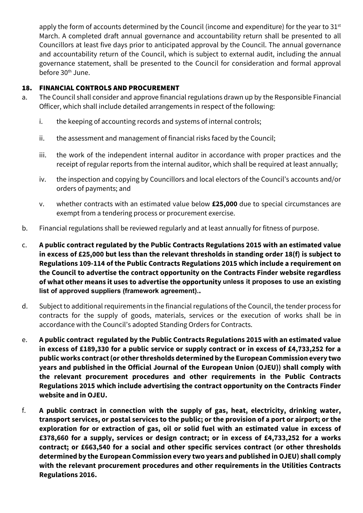apply the form of accounts determined by the Council (income and expenditure) for the year to 31<sup>st</sup> March. A completed draft annual governance and accountability return shall be presented to all Councillors at least five days prior to anticipated approval by the Council. The annual governance and accountability return of the Council, which is subject to external audit, including the annual governance statement, shall be presented to the Council for consideration and formal approval before 30<sup>th</sup> June.

## 18. FINANCIAL CONTROLS AND PROCUREMENT

- a. The Council shall consider and approve financial regulations drawn up by the Responsible Financial Officer, which shall include detailed arrangements in respect of the following:
	- i. the keeping of accounting records and systems of internal controls;
	- ii. the assessment and management of financial risks faced by the Council;
	- iii. the work of the independent internal auditor in accordance with proper practices and the receipt of regular reports from the internal auditor, which shall be required at least annually;
	- iv. the inspection and copying by Councillors and local electors of the Council's accounts and/or orders of payments; and
	- v. whether contracts with an estimated value below **£25,000** due to special circumstances are exempt from a tendering process or procurement exercise.
- b. Financial regulations shall be reviewed regularly and at least annually for fitness of purpose.
- c. **A public contract regulated by the Public Contracts Regulations 2015 with an estimated value in excess of £25,000 but less than the relevant thresholds in standing order 18(f) is subject to Regulations 109-114 of the Public Contracts Regulations 2015 which include a requirement on the Council to advertise the contract opportunity on the Contracts Finder website regardless of what other means it uses to advertise the opportunity unless it proposes to use an existing list of approved suppliers (framework agreement)..**
- d. Subject to additional requirements in the financial regulations of the Council, the tender process for contracts for the supply of goods, materials, services or the execution of works shall be in accordance with the Council's adopted Standing Orders for Contracts.
- e. **A public contract regulated by the Public Contracts Regulations 2015 with an estimated value in excess of £189,330 for a public service or supply contract or in excess of £4,733,252 for a public works contract (or otherthresholds determined by the European Commission every two years and published in the Official Journal of the European Union (OJEU)) shall comply with the relevant procurement procedures and other requirements in the Public Contracts Regulations 2015 which include advertising the contract opportunity on the Contracts Finder website and in OJEU.**
- f. **A public contract in connection with the supply of gas, heat, electricity, drinking water, transport services, or postal services to the public; or the provision of a port or airport; or the exploration for or extraction of gas, oil or solid fuel with an estimated value in excess of £378,660 for a supply, services or design contract; or in excess of £4,733,252 for a works contract; or £663,540 for a social and other specific services contract (or other thresholds determined by the European Commission every two years and published in OJEU) shall comply with the relevant procurement procedures and other requirements in the Utilities Contracts Regulations 2016.**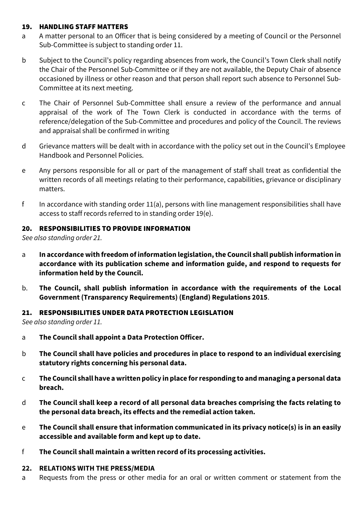#### 19. HANDLING STAFF MATTERS

- a A matter personal to an Officer that is being considered by a meeting of Council or the Personnel Sub-Committee is subject to standing order 11.
- b Subject to the Council's policy regarding absences from work, the Council's Town Clerk shall notify the Chair of the Personnel Sub-Committee or if they are not available, the Deputy Chair of absence occasioned by illness or other reason and that person shall report such absence to Personnel Sub-Committee at its next meeting.
- c The Chair of Personnel Sub-Committee shall ensure a review of the performance and annual appraisal of the work of The Town Clerk is conducted in accordance with the terms of reference/delegation of the Sub-Committee and procedures and policy of the Council. The reviews and appraisal shall be confirmed in writing
- d Grievance matters will be dealt with in accordance with the policy set out in the Council's Employee Handbook and Personnel Policies.
- e Any persons responsible for all or part of the management of staff shall treat as confidential the written records of all meetings relating to their performance, capabilities, grievance or disciplinary matters.
- f In accordance with standing order  $11(a)$ , persons with line management responsibilities shall have access to staff records referred to in standing order 19(e).

#### 20. RESPONSIBILITIES TO PROVIDE INFORMATION

*See also standing order 21.*

- a **In accordance with freedom of information legislation, the Council shall publish information in accordance with its publication scheme and information guide, and respond to requests for information held by the Council.**
- b. **The Council, shall publish information in accordance with the requirements of the Local Government (Transparency Requirements) (England) Regulations 2015**.

#### 21. RESPONSIBILITIES UNDER DATA PROTECTION LEGISLATION

*See also standing order 11.*

- a **The Council shall appoint a Data Protection Officer.**
- b **The Council shall have policies and procedures in place to respond to an individual exercising statutory rights concerning his personal data.**
- c **The Council shall have a written policy in place for responding to and managing a personal data breach.**
- d **The Council shall keep a record of all personal data breaches comprising the facts relating to the personal data breach, its effects and the remedial action taken.**
- e **The Council shall ensure that information communicated in its privacy notice(s) is in an easily accessible and available form and kept up to date.**
- f **The Council shall maintain a written record of its processing activities.**

#### **22. RELATIONS WITH THE PRESS/MEDIA**

a Requests from the press or other media for an oral or written comment or statement from the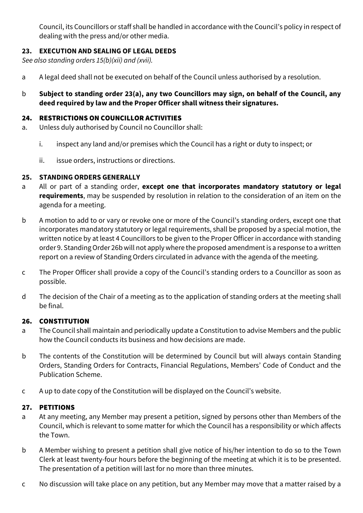Council, its Councillors or staff shall be handled in accordance with the Council's policy in respect of dealing with the press and/or other media.

# **23. EXECUTION AND SEALING OF LEGAL DEEDS**

*See also standing orders 15(b)(xii) and (xvii).*

- a A legal deed shall not be executed on behalf of the Council unless authorised by a resolution.
- b **Subject to standing order 23(a), any two Councillors may sign, on behalf of the Council, any deed required by law and the Proper Officer shall witness their signatures.**

#### 24. RESTRICTIONS ON COUNCILLOR ACTIVITIES

- a. Unless duly authorised by Council no Councillor shall:
	- i. inspect any land and/or premises which the Council has a right or duty to inspect; or
	- ii. issue orders, instructions or directions.

## **25. STANDING ORDERS GENERALLY**

- a All or part of a standing order, **except one that incorporates mandatory statutory or legal requirements**, may be suspended by resolution in relation to the consideration of an item on the agenda for a meeting.
- b A motion to add to or vary or revoke one or more of the Council's standing orders, except one that incorporates mandatory statutory or legal requirements, shall be proposed by a special motion, the written notice by at least 4 Councillors to be given to the Proper Officer in accordance with standing order 9. Standing Order 26b will not apply where the proposed amendment is a response to a written report on a review of Standing Orders circulated in advance with the agenda of the meeting.
- c The Proper Officer shall provide a copy of the Council's standing orders to a Councillor as soon as possible.
- d The decision of the Chair of a meeting as to the application of standing orders at the meeting shall be final.

## 26. CONSTITUTION

- a The Council shall maintain and periodically update a Constitution to advise Members and the public how the Council conducts its business and how decisions are made.
- b The contents of the Constitution will be determined by Council but will always contain Standing Orders, Standing Orders for Contracts, Financial Regulations, Members' Code of Conduct and the Publication Scheme.
- c A up to date copy of the Constitution will be displayed on the Council's website.

#### 27. PETITIONS

- a At any meeting, any Member may present a petition, signed by persons other than Members of the Council, which is relevant to some matter for which the Council has a responsibility or which affects the Town.
- b A Member wishing to present a petition shall give notice of his/her intention to do so to the Town Clerk at least twenty-four hours before the beginning of the meeting at which it is to be presented. The presentation of a petition will last for no more than three minutes.
- c No discussion will take place on any petition, but any Member may move that a matter raised by a